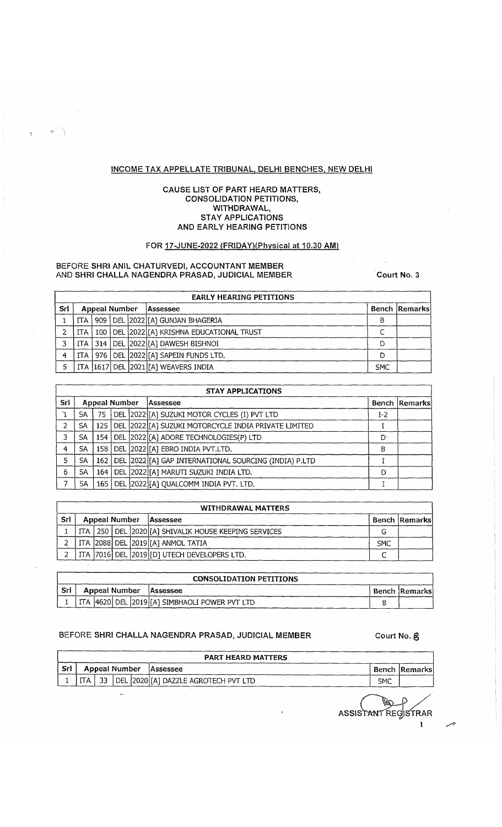# INCOME TAX APPELLATE TRIBUNAL, DELHI BENCHES, NEW DELHI

### CAUSE LIST OF PART HEARD MATTERS, CONSOLIDATION PETITIONS, WITHDRAWAL, **STAY APPLICATIONS** AND EARLY HEARING PETITIONS

# FOR 17-JUNE-2022 (FRIDAY) (Physical at 10.30 AM)

#### BEFORE SHRI ANIL CHATURVEDI, ACCOUNTANT MEMBER AND SHRI CHALLA NAGENDRA PRASAD, JUDICIAL MEMBER Court No. 3

|     |                |                      |  | <b>EARLY HEARING PETITIONS</b>                |            |                      |
|-----|----------------|----------------------|--|-----------------------------------------------|------------|----------------------|
| Srl |                | <b>Appeal Number</b> |  | Assessee                                      |            | <b>Bench Remarks</b> |
|     |                |                      |  | TTA   909   DEL  2022 [A] GUNJAN BHAGERIA     |            |                      |
|     | $\mathsf{ITA}$ |                      |  | 100   DEL 2022 [[A] KRISHNA EDUCATIONAL TRUST |            |                      |
|     |                |                      |  | ITA   314   DEL   2022   [A] DAWESH BISHNOI   |            |                      |
|     |                |                      |  | ITA   976   DEL [2022][A] SAPEIN FUNDS LTD.   |            |                      |
|     |                |                      |  | ITA 1617 DEL 2021 [A] WEAVERS INDIA           | <b>SMC</b> |                      |

|     |           |               |  | <b>STAY APPLICATIONS</b>                                    |     |               |
|-----|-----------|---------------|--|-------------------------------------------------------------|-----|---------------|
| Sri |           | Appeal Number |  | Assessee                                                    |     | Bench Remarks |
|     | SA.       | 75            |  | DEL 2022 [A] SUZUKI MOTOR CYCLES (I) PVT LTD                | 1-2 |               |
|     | <b>SA</b> |               |  | 125   DEL 2022 [[A] SUZUKI MOTORCYCLE INDIA PRIVATE LIMITED |     |               |
| 3.  | <b>SA</b> |               |  | 154   DEL 2022 [A] ADORE TECHNOLOGIES(P) LTD                | D٠  |               |
| 4   | <b>SA</b> |               |  | 158   DEL 2022 [[A] EBRO INDIA PVT.LTD.                     | В   |               |
| 5   | SA        |               |  | 162   DEL 2022 [A] GAP INTERNATIONAL SOURCING (INDIA) P.LTD |     |               |
| 6   | SA        |               |  | 164   DEL   2022   [A] MARUTI SUZUKI INDIA LTD.             | D.  |               |
|     | SA        |               |  | 165   DEL 2022 [[A] QUALCOMM INDIA PVT. LTD.                |     |               |

|     | <b>WITHDRAWAL MATTERS</b> |                      |  |  |                                                           |            |               |  |  |  |  |  |  |
|-----|---------------------------|----------------------|--|--|-----------------------------------------------------------|------------|---------------|--|--|--|--|--|--|
| Srl |                           | <b>Appeal Number</b> |  |  | Assessee                                                  |            | Bench Remarks |  |  |  |  |  |  |
|     |                           |                      |  |  | TTA   250   DEL  2020 [A] SHIVALIK HOUSE KEEPING SERVICES |            |               |  |  |  |  |  |  |
|     |                           |                      |  |  | ITA 2088 DEL 2019 [A] ANMOL TATIA                         | <b>SMC</b> |               |  |  |  |  |  |  |
|     |                           |                      |  |  | ITA 7016 DEL 2019 [D] UTECH DEVELOPERS LTD.               |            |               |  |  |  |  |  |  |

|      | <b>CONSOLIDATION PETITIONS</b> |                                                           |                      |  |  |  |  |  |  |  |  |  |
|------|--------------------------------|-----------------------------------------------------------|----------------------|--|--|--|--|--|--|--|--|--|
| -Srl | Appeal Number<br>Assessee      |                                                           | <b>Bench Remarks</b> |  |  |  |  |  |  |  |  |  |
|      |                                | 1   ITA   4620   DEL   2019   [A] SIMBHAOLI POWER PVT LTD |                      |  |  |  |  |  |  |  |  |  |

# BEFORE SHRI CHALLA NAGENDRA PRASAD, JUDICIAL MEMBER Court No. §

|     | <b>PART HEARD MATTERS</b> |    |                      |  |                                      |  |                      |  |  |  |  |  |  |  |
|-----|---------------------------|----|----------------------|--|--------------------------------------|--|----------------------|--|--|--|--|--|--|--|
| Srl |                           |    | <b>Appeal Number</b> |  | Assessee                             |  | <b>Bench Remarks</b> |  |  |  |  |  |  |  |
|     | ITA -                     | 33 |                      |  | DEL 2020 [A] DAZZLE AGROTECH PVT LTD |  | <b>SMC</b>           |  |  |  |  |  |  |  |
|     |                           |    | 1.7                  |  |                                      |  | ASSISTANT REGISTRAR  |  |  |  |  |  |  |  |

n,

 $\mathbf{I}$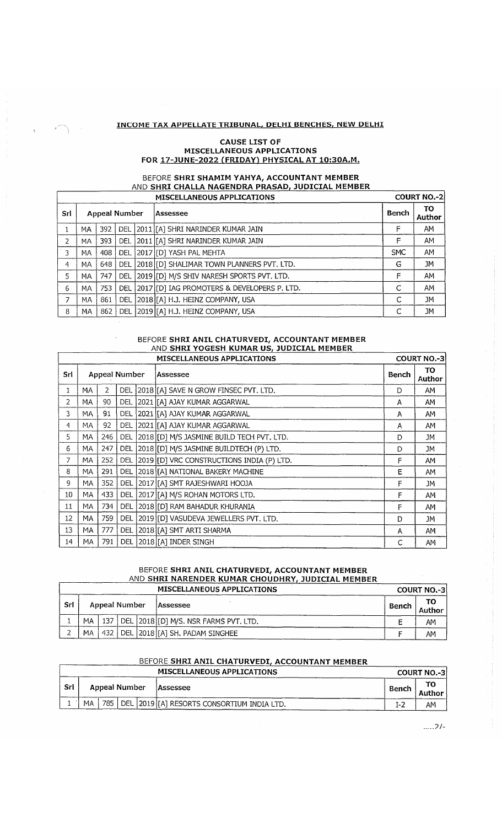## INCOME TAX APPELLATE TRIBUNAL, DELHI BENCHES, NEW DELHI

T

 $\mathsf{r}$ 

 $\cdot$ 

### **CAUSE LIST OF** MISCELLANEOUS APPLICATIONS FOR 17-JUNE-2022 (FRIDAY) PHYSICAL AT 10:30A.M.

#### BEFORE **SHRI SHAMIM YAHYA, ACCOUNTANT MEMBER** <u>AND **SHRI CHALLA NAGENDRA PRASAD, JUDICIAL MEMBER**</u> MISCELLANEOUS APPLICATIONS COURT NO.-2

|     |           |     |                      | MISCLELANCOUS AFFEICATIONS                   |            | CUUNTINU. Z  |
|-----|-----------|-----|----------------------|----------------------------------------------|------------|--------------|
| Srl |           |     | <b>Appeal Number</b> | Bench<br>lAssessee                           |            | TO<br>Author |
|     | MA        | 392 | <b>DEL</b>           | 2011   [A] SHRI NARINDER KUMAR JAIN          | F          | AΜ           |
| 2   | МA        | 393 | DEL                  | 2011 [[A] SHRI NARINDER KUMAR JAIN           | F          | AM           |
| 3   | MA        | 408 | <b>DEL</b>           | [2017][D] YASH PAL MEHTA                     | <b>SMC</b> | <b>AM</b>    |
| 4   | MA.       | 648 | DEL                  | [2018][D] SHALIMAR TOWN PLANNERS PVT. LTD.   | G          | JM           |
| 5   | MA.       | 747 | <b>DEL</b>           | 2019 [D] M/S SHIV NARESH SPORTS PVT. LTD.    | F          | AM           |
| 6.  | <b>MA</b> | 753 | DEL                  | [2017][D] IAG PROMOTERS & DEVELOPERS P. LTD. | C          | AM           |
|     | MA.       | 861 |                      | DEL   2018   [A] H.J. HEINZ COMPANY, USA     |            | JM           |
| 8   | MA.       | 862 |                      | DEL   2019   [A] H.J. HEINZ COMPANY, USA     |            | <b>JM</b>    |

# BEFORE **SHRI ANIL CHATURVEDI, ACCOUNTANT MEMBER** <u>AND **SHRI YOGESH KUMAR US, JUDICIAL MEMBER**</u>

|                | <b>MISCELLANEOUS APPLICATIONS</b> |     |                      |  |                                           |       |              |  |  |
|----------------|-----------------------------------|-----|----------------------|--|-------------------------------------------|-------|--------------|--|--|
| Srl            |                                   |     | <b>Appeal Number</b> |  | Assessee                                  | Bench | TO<br>Author |  |  |
| 1              | MA                                | 2   | <b>DEL</b>           |  | 2018 [A] SAVE N GROW FINSEC PVT. LTD.     | D     | AM           |  |  |
| 2              | MA                                | 90  | DEL.                 |  | 2021 [[A] AJAY KUMAR AGGARWAL             | A     | AM           |  |  |
| 3.             | MA.                               | 91  | <b>DEL</b>           |  | 2021 [A] AJAY KUMAR AGGARWAL              | Α     | AM           |  |  |
| $\overline{4}$ | MA.                               | 92  | <b>DEL</b>           |  | 2021 [[A] AJAY KUMAR AGGARWAL             | А     | AM           |  |  |
| 5              | MA.                               | 246 | DEL.                 |  | 2018 [D] M/S JASMINE BUILD TECH PVT. LTD. | D     | JM           |  |  |
| 6              | МA                                | 247 | <b>DEL</b>           |  | 2018 [D] M/S JASMINE BUILDTECH (P) LTD.   | D     | JM           |  |  |
| 7              | MA.                               | 252 | <b>DEL</b>           |  | 2019 [D] VRC CONSTRUCTIONS INDIA (P) LTD. | F     | AM           |  |  |
| 8              | MA.                               | 291 | <b>DEL</b>           |  | 2018 [[A] NATIONAL BAKERY MACHINE         | Е     | AM           |  |  |
| 9              | <b>MA</b>                         | 352 | <b>DEL</b>           |  | 2017 [A] SMT RAJESHWARI HOOJA             | F     | JM           |  |  |
| 10             | MA.                               | 433 | DEL.                 |  | 2017 [[A] M/S ROHAN MOTORS LTD.           | F     | AM.          |  |  |
| 11             | МA                                | 734 | DEL.                 |  | 2018 [D] RAM BAHADUR KHURANIA             | F     | AM           |  |  |
| 12             | МA                                | 759 | DEL                  |  | 2019 [D] VASUDEVA JEWELLERS PVT. LTD.     | D     | JM           |  |  |
| 13             | MA                                | 777 | <b>DEL</b>           |  | 2018 [[A] SMT ARTI SHARMA                 | A     | AM           |  |  |
| 14             | MA                                | 791 | DEL                  |  | 2018 [A] INDER SINGH                      | С     | AM           |  |  |

## BEFORE SHRI ANIL CHATURVEDI, ACCOUNTANT MEMBER AND SHRI NARENDER KUMAR CHOUDHRY, JUDICIAL MEMBER

|     |               |     |  |  | <b>MISCELLANEOUS APPLICATIONS</b>         |       | <b>COURT NO.-31</b> |
|-----|---------------|-----|--|--|-------------------------------------------|-------|---------------------|
| Srl | Appeal Number |     |  |  | lAssessee                                 | Bench | TO<br>Author        |
|     | MA            | 137 |  |  | DEL   2018   [D] M/S. NSR FARMS PVT. LTD. |       | AΜ                  |
|     | MA            | 432 |  |  | DEL 2018 [A] SH. PADAM SINGHEE            |       | AM                  |

## BEFORE SHRI ANIL CHATURVEDI, ACCOUNTANT MEMBER

|            |                      |  | <b>MISCELLANEOUS APPLICATIONS</b>                    |       | <b>COURT NO.-3</b> |
|------------|----------------------|--|------------------------------------------------------|-------|--------------------|
| <b>Srl</b> | <b>Appeal Number</b> |  | <b>Assessee</b>                                      | Bench | Author I           |
|            | MA                   |  | 785   DEL   2019   [A] RESORTS CONSORTIUM INDIA LTD. | I-2   | AM                 |

 $....2/-$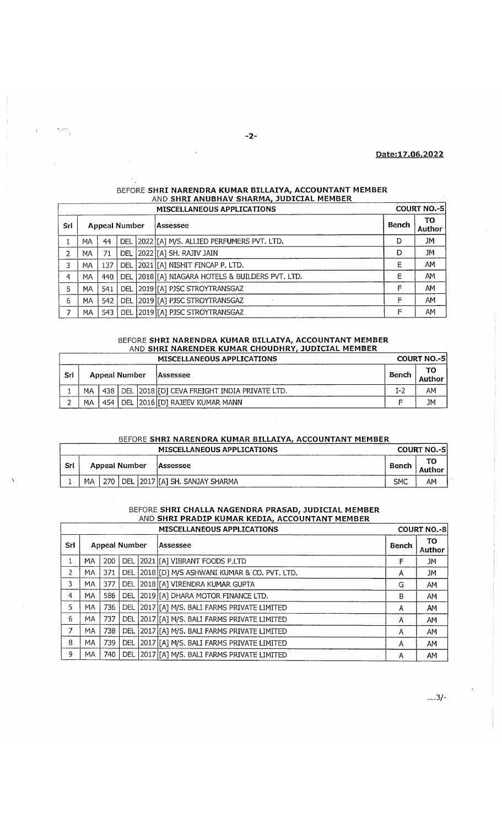### Date: 17.06.2022

|     |           |     |                                  |  | MISCELLANEOUS APPLICATIONS                           |       | <b>COURT NO.-5</b> |  |
|-----|-----------|-----|----------------------------------|--|------------------------------------------------------|-------|--------------------|--|
| Sri |           |     | <b>Appeal Number</b><br>Assessee |  |                                                      | Bench | TO<br>Author       |  |
|     | MA        | 44  |                                  |  | DEL   2022 [[A] M/S. ALLIED PERFUMERS PVT. LTD.      | D     | JM                 |  |
| 2   | MA        | 71  |                                  |  | DEL 2022 [[A] SH. RAJIV JAIN                         | D     | JM                 |  |
| 3   | MA        | 137 | <b>DEL</b>                       |  | 2021 [A] NISHIT FINCAP P. LTD.                       | Е     | AM                 |  |
| 4   | МA        | 440 |                                  |  | DEL   2018   [A] NIAGARA HOTELS & BUILDERS PVT. LTD. | Е     | AM                 |  |
| 5   | МA        | 541 |                                  |  | DEL 2019 [[A] PJSC STROYTRANSGAZ                     | F     | AM                 |  |
| 6   | MA        | 542 |                                  |  | DEL 2019 [[A] PJSC STROYTRANSGAZ                     | F     | AM                 |  |
|     | <b>MA</b> | 543 |                                  |  | DEL 2019 [[A] PJSC STROYTRANSGAZ                     | F     | AM                 |  |

# BEFORE SHRI NARENDRA KUMAR BILLAIYA, ACCOUNTANT MEMBER AND SHRI ANUBHAV SHARMA, JUDICIAL MEMBER

#### BEFORE **SHRI NARENDRA KUMAR BILLAIYA, ACCOUNTANT MEMBER** AND **SHRI NARENDER KUMAR CHOUDHRY, JUDICIAL MEMBER** MISCELLANEOUS APPLICATIONS COURT NO.

|     |               | MISCLLLANLOUS AFFLICATIONS |  |           |                                                  |                |    |
|-----|---------------|----------------------------|--|-----------|--------------------------------------------------|----------------|----|
| Sri | Appeal Number |                            |  | lAssessee | Bench                                            | TO .<br>Author |    |
|     | МA            | 438 l                      |  |           | DEL   2018   [D] CEVA FREIGHT INDIA PRIVATE LTD. | $I - 2$        | AΜ |
|     | MA            | 454                        |  |           | DEL   2016   [D] RAJEEV KUMAR MANN               |                | JM |

## BEFORE SHRI NARENDRA KUMAR BILLAIYA, ACCOUNTANT MEMBER

|     | <b>MISCELLANEOUS APPLICATIONS</b><br><b>COURT NO.-5</b> |     |  |  |                                 |            |                 |  |  |  |  |  |
|-----|---------------------------------------------------------|-----|--|--|---------------------------------|------------|-----------------|--|--|--|--|--|
| Srl | <b>Appeal Number</b>                                    |     |  |  | <b>Assessee</b>                 |            | TO.<br>. Author |  |  |  |  |  |
|     | MА                                                      | 270 |  |  | DEL 2017 [[A] SH. SANJAY SHARMA | <b>SMC</b> | AM              |  |  |  |  |  |

# BEFORE SHRI CHALLA NAGENDRA PRASAD, JUDICIAL MEMBER AND SHRI PRADIP KUMAR KEDIA, ACCOUNTANT MEMBER

 $\overline{1}$ 

|     |                      |     |            |  | <b>COURT NO.-8</b>                              |       |               |
|-----|----------------------|-----|------------|--|-------------------------------------------------|-------|---------------|
| Srl | <b>Appeal Number</b> |     |            |  | Assessee                                        | Bench | TO.<br>Author |
|     | MA.                  | 200 |            |  | DEL 2021 [A] VIBRANT FOODS P.LTD                | F     | JM            |
| 2   | MA.                  | 371 | <b>DEL</b> |  | [2018][D] M/S ASHWANI KUMAR & CO. PVT. LTD.     | А     | JM            |
| 3.  | MA.                  | 377 | <b>DEL</b> |  | 2018 [[A] VIRENDRA KUMAR GUPTA                  | G     | <b>AM</b>     |
| 4   | MA.                  | 586 | <b>DEL</b> |  | 2019 [A] DHARA MOTOR FINANCE LTD.               | В     | AM            |
| 5   | MA.                  | 736 |            |  | DEL   2017 [[A] M/S. BALI FARMS PRIVATE LIMITED | A     | AM            |
| 6   | MA.                  | 737 | DEL        |  | [2017][A] M/S. BALI FARMS PRIVATE LIMITED       | Α     | AM            |
| 7   | MA.                  | 738 |            |  | DEL 2017 [A] M/S. BALI FARMS PRIVATE LIMITED    | Α     | AM            |
| 8   | MA.                  | 739 | <b>DEL</b> |  | 2017 [A] M/S. BALI FARMS PRIVATE LIMITED        | Α     | AM            |
| 9   | MA.                  | 740 |            |  | DEL 2017 [[A] M/S. BALI FARMS PRIVATE LIMITED   | А     | AM            |

 $\dots 3/-$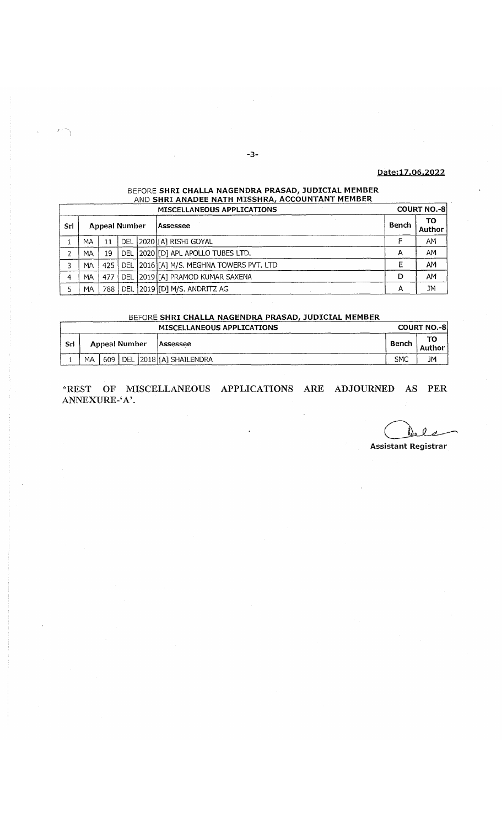### Pate:17.06.2022

## BEFORE **SHRI CHALLA NAGENDRA PRASAD, JUDICIAL MEMBER** <u>AND **SHRI ANADEE NATH MISSHRA, ACCOUNTANT MEMBER**</u>

|     |     |                      |           | <b>MISCELLANEOUS APPLICATIONS</b>                |              | <b>COURT NO.-81</b> |
|-----|-----|----------------------|-----------|--------------------------------------------------|--------------|---------------------|
| Srl |     | <b>Appeal Number</b> | lAssessee | Bench                                            | TO<br>Author |                     |
|     | MA  | 11                   |           | DEL 2020 [[A] RISHI GOYAL                        |              | AM                  |
|     | MA  | 19                   |           | DEL 2020 [D] APL APOLLO TUBES LTD.               | А            | AM                  |
| 3   | MA  |                      |           | 425   DEL 2016   [A] M/S. MEGHNA TOWERS PVT. LTD | E            | AM                  |
| 4   | MA. | 477                  |           | DEL 2019 [[A] PRAMOD KUMAR SAXENA                | D            | AM                  |
|     | MA  | 788                  |           | DEL 2019 [D] M/S. ANDRITZ AG                     | A            | JM                  |

# BEFORE SHRI CHALLA NAGENDRA PRASAD, JUDICIAL MEMBER

|      |    |               |  | <b>MISCELLANEOUS APPLICATIONS</b> |            | <b>COURT NO.-81</b> |
|------|----|---------------|--|-----------------------------------|------------|---------------------|
| -Srl |    | Appeal Number |  | <b>Assessee</b>                   | Bench      | ТΟ<br>. Author      |
|      | МA | 609           |  | DEL   2018   [A] SHAILENDRA       | <b>SMC</b> | JM                  |

**\*REST OF MISCELLANEOUS APPLICATIONS ARE ADJOURNED AS PER ANNEXURE-'A'.**

Assistant Registrar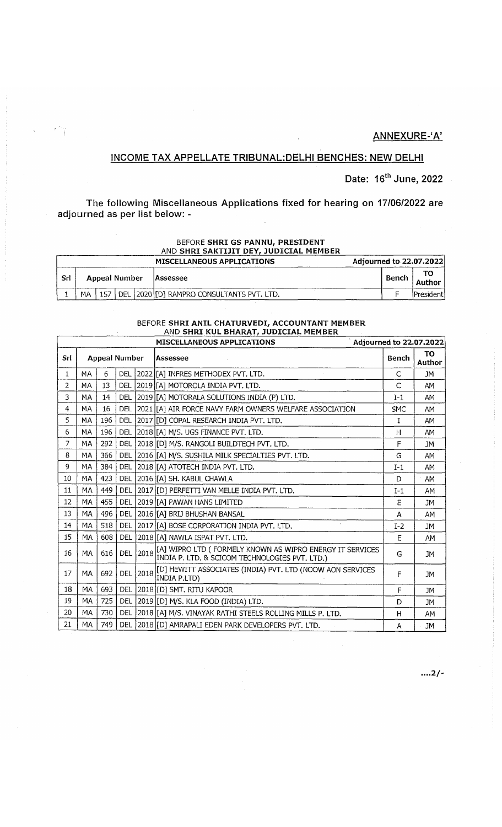# **ANNEXURE-'A'**

# **INCOME TAX APPELLATE TRIBUNAL:DELH1 BENCHES: NEW DELHI**

**Date: 16th June, 2022**

**The following Miscellaneous Applications fixed for hearing on 17/06/2022 are adjourned as per list below: -**

T).

#### BEFORE SHRI GS PANNU, PRESIDENT AND SHRI SAKTIJIT DEY, JUDICIAL MEMBER

|     | Adjourned to 22.07.2022<br><b>MISCELLANEOUS APPLICATIONS</b> |     |       |  |                                           |       |  |             |  |  |  |
|-----|--------------------------------------------------------------|-----|-------|--|-------------------------------------------|-------|--|-------------|--|--|--|
| Srl | Appeal Number                                                |     |       |  | lAssessee                                 | Bench |  | Author      |  |  |  |
|     | MΑ                                                           | 157 | ' DEL |  | ∟  2020  [D] RAMPRO CONSULTANTS PVT. LTD. |       |  | iPresidenti |  |  |  |

### BEFORE **SHRI ANIL CHATURVEDI, ACCOUNTANT MEMBER** AND SHRI KUL BHARAT, JUDICIAL MEMBER

|                | MISCELLANEOUS APPLICATIONS<br>Adjourned to 22.07.2022 |     |            |      |                                                                                                             |              |              |
|----------------|-------------------------------------------------------|-----|------------|------|-------------------------------------------------------------------------------------------------------------|--------------|--------------|
| Srl            | <b>Appeal Number</b>                                  |     |            |      | Assessee                                                                                                    | Bench        | TO<br>Author |
| $\mathbf{1}$   | MA                                                    | 6   | DEL        |      | 2022 [[A] INFRES METHODEX PVT. LTD.                                                                         | $\mathsf{C}$ | JМ           |
| 2              | <b>MA</b>                                             | 13  | <b>DEL</b> |      | 2019 [[A] MOTOROLA INDIA PVT. LTD.                                                                          | $\mathsf{C}$ | AM           |
| 3              | MA                                                    | 14  | <b>DEL</b> |      | 2019 [A] MOTORALA SOLUTIONS INDIA (P) LTD.                                                                  | $I-1$        | AM           |
| $\overline{4}$ | MA                                                    | 16  | DEL        |      | 2021 [[A] AIR FORCE NAVY FARM OWNERS WELFARE ASSOCIATION                                                    | <b>SMC</b>   | AM           |
| 5              | МA                                                    | 196 | <b>DEL</b> |      | 2017 [D] COPAL RESEARCH INDIA PVT. LTD.                                                                     | I            | AM           |
| 6              | MA                                                    | 196 | <b>DEL</b> |      | 2018 [[A] M/S. UGS FINANCE PVT. LTD.                                                                        | H            | AM           |
| $\overline{7}$ | MA                                                    | 292 | DEL        |      | 2018 [D] M/S. RANGOLI BUILDTECH PVT. LTD.                                                                   | F            | <b>JM</b>    |
| 8              | MA                                                    | 366 | <b>DEL</b> |      | 2016 [A] M/S. SUSHILA MILK SPECIALTIES PVT. LTD.                                                            | G            | AM           |
| 9              | <b>MA</b>                                             | 384 | DEL        |      | 2018 [[A] ATOTECH INDIA PVT. LTD.                                                                           | $I-1$        | AM           |
| 10             | MA                                                    | 423 | <b>DEL</b> |      | 2016 [A] SH. KABUL CHAWLA                                                                                   | D            | AM           |
| 11             | MA                                                    | 449 | <b>DEL</b> |      | 2017 [D] PERFETTI VAN MELLE INDIA PVT. LTD.                                                                 | $I-1$        | AM           |
| 12             | МA                                                    | 455 | <b>DEL</b> |      | 2019 [A] PAWAN HANS LIMITED                                                                                 | Е            | <b>JM</b>    |
| 13             | MA                                                    | 496 | <b>DEL</b> |      | 2016 [[A] BRIJ BHUSHAN BANSAL                                                                               | A            | AM           |
| 14             | MA                                                    | 518 | <b>DEL</b> |      | 2017 [A] BOSE CORPORATION INDIA PVT. LTD.                                                                   | $I-2$        | <b>JM</b>    |
| 15             | <b>MA</b>                                             | 608 | <b>DEL</b> |      | 2018 [A] NAWLA ISPAT PVT. LTD.                                                                              | E            | AM           |
| 16             | MA                                                    | 616 | <b>DEL</b> | 2018 | [A] WIPRO LTD ( FORMELY KNOWN AS WIPRO ENERGY IT SERVICES<br>INDIA P. LTD. & SCICOM TECHNOLOGIES PVT. LTD.) | G            | <b>JM</b>    |
| 17             | <b>MA</b>                                             | 692 | <b>DEL</b> | 2018 | [D] HEWITT ASSOCIATES (INDIA) PVT. LTD (NOOW AON SERVICES<br>INDIA P.LTD)                                   | F            | <b>JM</b>    |
| 18             | MA                                                    | 693 | <b>DEL</b> |      | 2018 [D] SMT. RITU KAPOOR                                                                                   | F            | JM.          |
| 19             | MA                                                    | 725 | <b>DEL</b> |      | 2019 [[D] M/S. KLA FOOD (INDIA) LTD.                                                                        | D            | JM           |
| 20             | MA                                                    | 730 | <b>DEL</b> |      | 2018 [[A] M/S. VINAYAK RATHI STEELS ROLLING MILLS P. LTD.                                                   | H            | AM           |
| 21             | MA                                                    | 749 |            |      | DEL   2018 [D] AMRAPALI EDEN PARK DEVELOPERS PVT. LTD.                                                      | A            | JМ           |